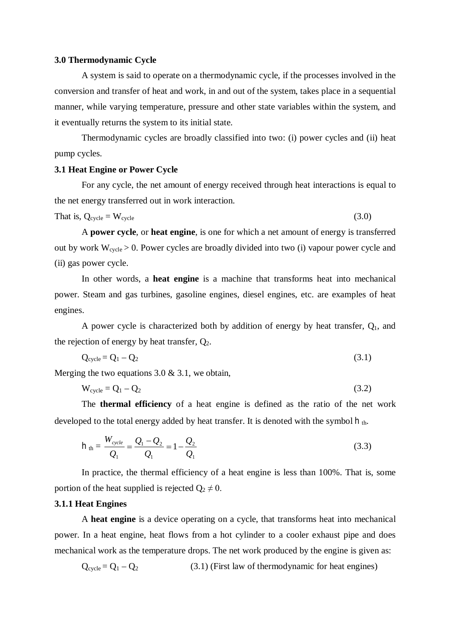### **3.0 Thermodynamic Cycle**

A system is said to operate on a thermodynamic cycle, if the processes involved in the conversion and transfer of heat and work, in and out of the system, takes place in a sequential manner, while varying temperature, pressure and other state variables within the system, and it eventually returns the system to its initial state.

Thermodynamic cycles are broadly classified into two: (i) power cycles and (ii) heat pump cycles.

## **3.1 Heat Engine or Power Cycle**

For any cycle, the net amount of energy received through heat interactions is equal to the net energy transferred out in work interaction.

$$
That is, Q_{cycle} = W_{cycle}
$$
\n(3.0)

A **power cycle**, or **heat engine**, is one for which a net amount of energy is transferred out by work  $W_{cycle} > 0$ . Power cycles are broadly divided into two (i) vapour power cycle and (ii) gas power cycle.

In other words, a **heat engine** is a machine that transforms heat into mechanical power. Steam and gas turbines, gasoline engines, diesel engines, etc. are examples of heat engines.

A power cycle is characterized both by addition of energy by heat transfer,  $Q_1$ , and the rejection of energy by heat transfer,  $Q_2$ .

$$
Q_{\text{cycle}} = Q_1 - Q_2 \tag{3.1}
$$

Merging the two equations 3.0 & 3.1, we obtain,

$$
W_{\text{cycle}} = Q_1 - Q_2 \tag{3.2}
$$

The **thermal efficiency** of a heat engine is defined as the ratio of the net work developed to the total energy added by heat transfer. It is denoted with the symbol  $h_{th}$ .

$$
h_{th} = \frac{W_{cycle}}{Q_1} = \frac{Q_1 - Q_2}{Q_1} = 1 - \frac{Q_2}{Q_1}
$$
 (3.3)

In practice, the thermal efficiency of a heat engine is less than 100%. That is, some portion of the heat supplied is rejected  $Q_2 \neq 0$ .

## **3.1.1 Heat Engines**

A **heat engine** is a device operating on a cycle, that transforms heat into mechanical power. In a heat engine, heat flows from a hot cylinder to a cooler exhaust pipe and does mechanical work as the temperature drops. The net work produced by the engine is given as:

 $Q_{\text{cycle}} = Q_1 - Q_2$  (3.1) (First law of thermodynamic for heat engines)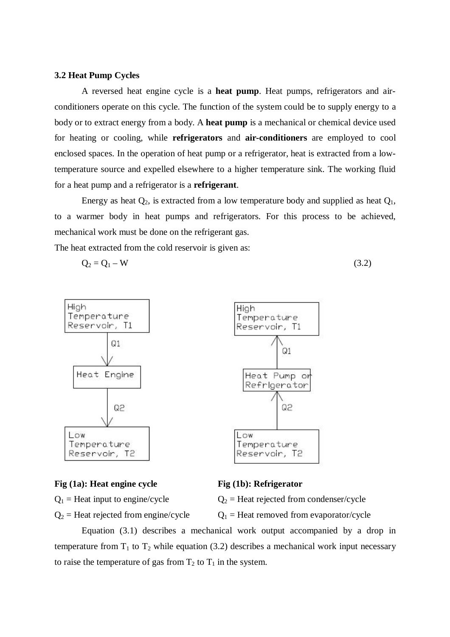## **3.2 Heat Pump Cycles**

A reversed heat engine cycle is a **heat pump**. Heat pumps, refrigerators and airconditioners operate on this cycle. The function of the system could be to supply energy to a body or to extract energy from a body. A **heat pump** is a mechanical or chemical device used for heating or cooling, while **refrigerators** and **air-conditioners** are employed to cool enclosed spaces. In the operation of heat pump or a refrigerator, heat is extracted from a lowtemperature source and expelled elsewhere to a higher temperature sink. The working fluid for a heat pump and a refrigerator is a **refrigerant**.

Energy as heat  $Q_2$ , is extracted from a low temperature body and supplied as heat  $Q_1$ , to a warmer body in heat pumps and refrigerators. For this process to be achieved, mechanical work must be done on the refrigerant gas.

The heat extracted from the cold reservoir is given as:

$$
Q_2 = Q_1 - W \tag{3.2}
$$



### **Fig (1a): Heat engine cycle Fig (1b): Refrigerator**

 $Q_1$  = Heat input to engine/cycle  $Q_2$  = Heat rejected from condenser/cycle

 $Q_2$  = Heat rejected from engine/cycle  $Q_1$  = Heat removed from evaporator/cycle

Equation (3.1) describes a mechanical work output accompanied by a drop in temperature from  $T_1$  to  $T_2$  while equation (3.2) describes a mechanical work input necessary to raise the temperature of gas from  $T_2$  to  $T_1$  in the system.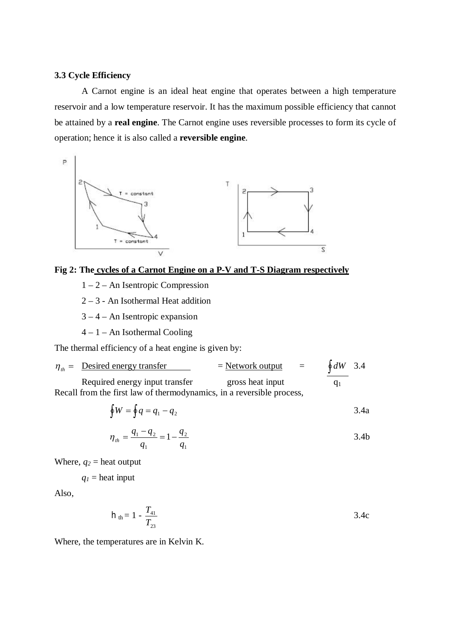# **3.3 Cycle Efficiency**

A Carnot engine is an ideal heat engine that operates between a high temperature reservoir and a low temperature reservoir. It has the maximum possible efficiency that cannot be attained by a **real engine**. The Carnot engine uses reversible processes to form its cycle of operation; hence it is also called a **reversible engine**.



# **Fig 2: The cycles of a Carnot Engine on a P-V and T-S Diagram respectively**

- 1 2 An Isentropic Compression
- 2 3 An Isothermal Heat addition
- 3 4 An Isentropic expansion
- $4 1 An Isothermal Cooling$

The thermal efficiency of a heat engine is given by:

$$
\eta_{th} = \text{Desired energy transfer} \qquad \qquad = \text{Network output} \qquad = \qquad \oint dW \quad 3.4
$$

Required energy input transfer gross heat input  $q_1$ Recall from the first law of thermodynamics, in a reversible process,

$$
\oint W = \oint q = q_1 - q_2 \tag{3.4a}
$$

$$
\eta_{th} = \frac{q_1 - q_2}{q_1} = 1 - \frac{q_2}{q_1} \tag{3.4b}
$$

Where,  $q_2$  = heat output

 $q_1$  = heat input

Also,

$$
h_{th} = 1 - \frac{T_{41}}{T_{23}} \tag{3.4c}
$$

Where, the temperatures are in Kelvin K.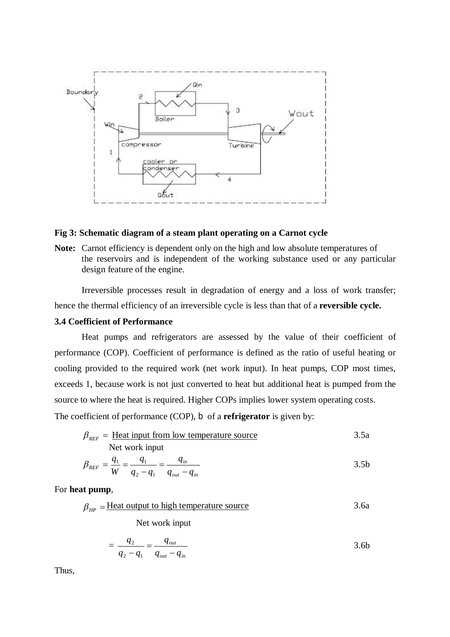

### **Fig 3: Schematic diagram of a steam plant operating on a Carnot cycle**

**Note:** Carnot efficiency is dependent only on the high and low absolute temperatures of the reservoirs and is independent of the working substance used or any particular design feature of the engine.

Irreversible processes result in degradation of energy and a loss of work transfer; hence the thermal efficiency of an irreversible cycle is less than that of a **reversible cycle.**

# **3.4 Coefficient of Performance**

Heat pumps and refrigerators are assessed by the value of their coefficient of performance (COP). Coefficient of performance is defined as the ratio of useful heating or cooling provided to the required work (net work input). In heat pumps, COP most times, exceeds 1, because work is not just converted to heat but additional heat is pumped from the source to where the heat is required. Higher COPs implies lower system operating costs.

The coefficient of performance (COP), b of a **refrigerator** is given by:

$$
\beta_{REF} = \underline{\text{Heat input from low temperature source}} \tag{3.5a}
$$
  
Net work input

$$
\beta_{REF} = \frac{q_1}{W} = \frac{q_1}{q_2 - q_1} = \frac{q_{in}}{q_{out} - q_{in}}
$$
\n
$$
\tag{3.5b}
$$

For **heat pump**,

$$
\beta_{HP} = \underline{\text{Heat output to high temperature source}}
$$
\n
$$
\text{Net work input}
$$

= *out in out*  $q_{\textit{out}} - q$ *q*  $q_2 - q$ *q* - $=$  $2 - q_1$ 2 3.6b

Thus,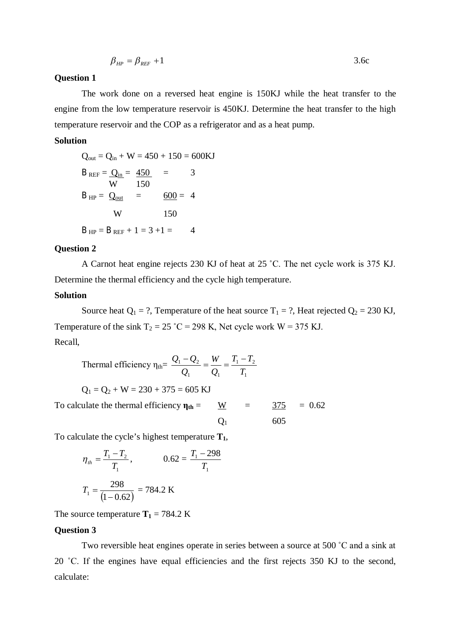$$
\beta_{HP} = \beta_{REF} + 1 \tag{3.6c}
$$

## **Question 1**

The work done on a reversed heat engine is 150KJ while the heat transfer to the engine from the low temperature reservoir is 450KJ. Determine the heat transfer to the high temperature reservoir and the COP as a refrigerator and as a heat pump.

## **Solution**

$$
Q_{out} = Q_{in} + W = 450 + 150 = 600 \text{KJ}
$$
  
\n
$$
B_{REF} = \underline{Q_{in}} = \frac{450}{150} = 3
$$
  
\n
$$
B_{HP} = \underline{Q_{out}} = \frac{600}{150} = 4
$$
  
\n
$$
W = 150
$$
  
\n
$$
B_{HP} = B_{REF} + 1 = 3 + 1 = 4
$$

#### **Question 2**

A Carnot heat engine rejects 230 KJ of heat at 25 ˚C. The net cycle work is 375 KJ. Determine the thermal efficiency and the cycle high temperature.

# **Solution**

Source heat  $Q_1 = ?$ , Temperature of the heat source  $T_1 = ?$ , Heat rejected  $Q_2 = 230$  KJ, Temperature of the sink  $T_2 = 25$  °C = 298 K, Net cycle work W = 375 KJ. Recall,

Thermal efficiency 
$$
\eta_{\text{th}} = \frac{Q_1 - Q_2}{Q_1} = \frac{W}{Q_1} = \frac{T_1 - T_2}{T_1}
$$

\n $Q_1 = Q_2 + W = 230 + 375 = 605 \text{ KJ}$ 

\nTo calculate the thermal efficiency  $\eta_{\text{th}} = \frac{W}{Q_1} = \frac{375}{605} = 0.62$ 

To calculate the cycle's highest temperature **T1**,

$$
\eta_{th} = \frac{T_1 - T_2}{T_1}, \qquad 0.62 = \frac{T_1 - 298}{T_1}
$$

$$
T_1 = \frac{298}{(1 - 0.62)} = 784.2 \text{ K}
$$

The source temperature  $T_1 = 784.2$  K

# **Question 3**

Two reversible heat engines operate in series between a source at 500 ˚C and a sink at 20 ˚C. If the engines have equal efficiencies and the first rejects 350 KJ to the second, calculate: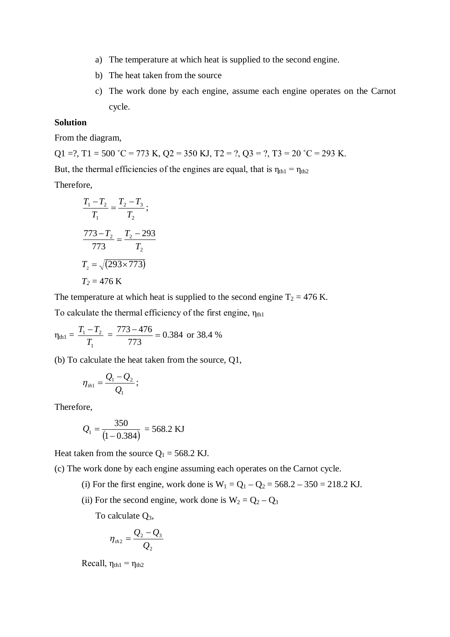- a) The temperature at which heat is supplied to the second engine.
- b) The heat taken from the source
- c) The work done by each engine, assume each engine operates on the Carnot cycle.

# **Solution**

From the diagram,

Q1 =?, T1 = 500 °C = 773 K, Q2 = 350 KJ, T2 = ?, Q3 = ?, T3 = 20 °C = 293 K. But, the thermal efficiencies of the engines are equal, that is  $\eta_{th1} = \eta_{th2}$ Therefore,

$$
\frac{T_1 - T_2}{T_1} = \frac{T_2 - T_3}{T_2};
$$
\n
$$
\frac{773 - T_2}{773} = \frac{T_2 - 293}{T_2}
$$
\n
$$
T_2 = \sqrt{(293 \times 773)}
$$
\n
$$
T_2 = 476 \text{ K}
$$

The temperature at which heat is supplied to the second engine  $T_2 = 476$  K.

To calculate the thermal efficiency of the first engine,  $\eta_{th1}$ 

$$
\eta_{th1} = \frac{T_1 - T_2}{T_1} = \frac{773 - 476}{773} = 0.384 \text{ or } 38.4 \%
$$

(b) To calculate the heat taken from the source, Q1,

$$
\eta_{th1}=\frac{Q_1-Q_2}{Q_1};
$$

Therefore,

$$
Q_1 = \frac{350}{(1 - 0.384)} = 568.2 \text{ KJ}
$$

Heat taken from the source  $Q_1 = 568.2$  KJ.

(c) The work done by each engine assuming each operates on the Carnot cycle.

- (i) For the first engine, work done is  $W_1 = Q_1 Q_2 = 568.2 350 = 218.2$  KJ.
- (ii) For the second engine, work done is  $W_2 = Q_2 Q_3$

To calculate  $Q_3$ ,

$$
\eta_{\scriptscriptstyle th2}=\frac{Q_2-Q_3}{Q_2}
$$

Recall,  $\eta_{th1} = \eta_{th2}$